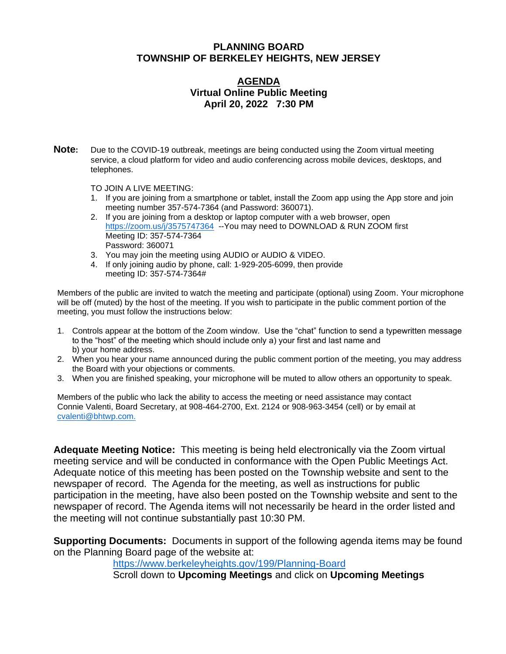### **PLANNING BOARD TOWNSHIP OF BERKELEY HEIGHTS, NEW JERSEY**

#### **AGENDA Virtual Online Public Meeting April 20, 2022 7:30 PM**

**Note:** Due to the COVID-19 outbreak, meetings are being conducted using the Zoom virtual meeting service, a cloud platform for video and audio conferencing across mobile devices, desktops, and telephones.

TO JOIN A LIVE MEETING:

- 1. If you are joining from a smartphone or tablet, install the Zoom app using the App store and join meeting number 357-574-7364 (and Password: 360071).
- 2. If you are joining from a desktop or laptop computer with a web browser, open <https://zoom.us/j/3575747364>-- You may need to DOWNLOAD & RUN ZOOM first Meeting ID: 357-574-7364 Password: 360071
- 3. You may join the meeting using AUDIO or AUDIO & VIDEO.
- 4. If only joining audio by phone, call: 1-929-205-6099, then provide meeting ID: 357-574-7364#

Members of the public are invited to watch the meeting and participate (optional) using Zoom. Your microphone will be off (muted) by the host of the meeting. If you wish to participate in the public comment portion of the meeting, you must follow the instructions below:

- 1. Controls appear at the bottom of the Zoom window. Use the "chat" function to send a typewritten message to the "host" of the meeting which should include only a) your first and last name and b) your home address.
- 2. When you hear your name announced during the public comment portion of the meeting, you may address the Board with your objections or comments.
- 3. When you are finished speaking, your microphone will be muted to allow others an opportunity to speak.

Members of the public who lack the ability to access the meeting or need assistance may contact Connie Valenti, Board Secretary, at 908-464-2700, Ext. 2124 or 908-963-3454 (cell) or by email at [cvalenti@bhtwp.com.](mailto:cvalenti@bhtwp.com)

**Adequate Meeting Notice:** This meeting is being held electronically via the Zoom virtual meeting service and will be conducted in conformance with the Open Public Meetings Act. Adequate notice of this meeting has been posted on the Township website and sent to the newspaper of record. The Agenda for the meeting, as well as instructions for public participation in the meeting, have also been posted on the Township website and sent to the newspaper of record. The Agenda items will not necessarily be heard in the order listed and the meeting will not continue substantially past 10:30 PM.

**Supporting Documents:** Documents in support of the following agenda items may be found on the Planning Board page of the website at:

<https://www.berkeleyheights.gov/199/Planning-Board>

Scroll down to **Upcoming Meetings** and click on **Upcoming Meetings**